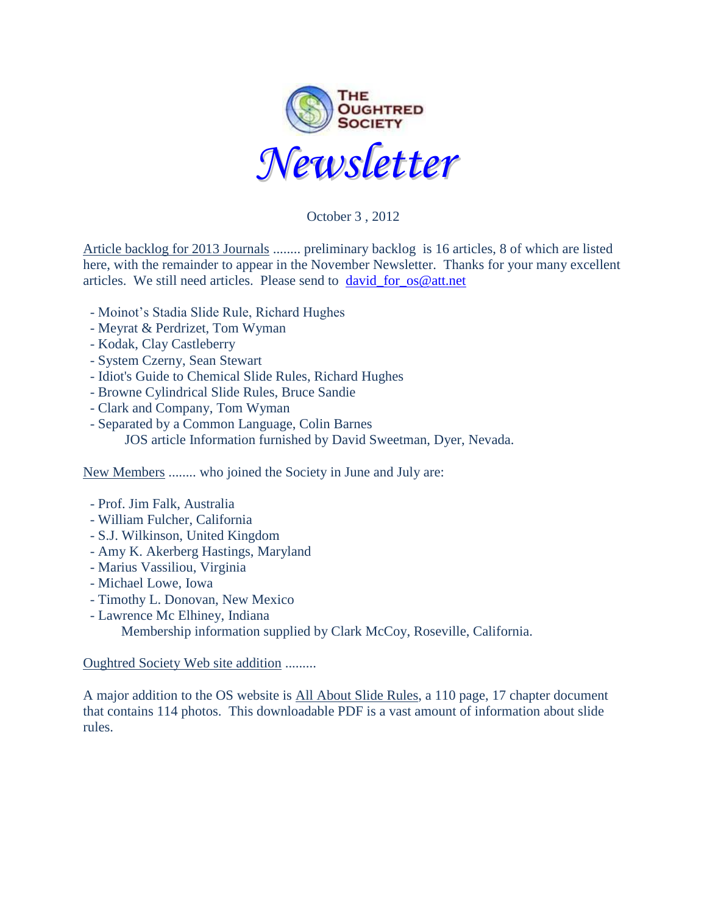

October 3 , 2012

Article backlog for 2013 Journals ........ preliminary backlog is 16 articles, 8 of which are listed here, with the remainder to appear in the November Newsletter. Thanks for your many excellent articles. We still need articles. Please send to [david\\_for\\_os@att.net](mailto:david_for_os@att.net)

- Moinot's Stadia Slide Rule, Richard Hughes
- Meyrat & Perdrizet, Tom Wyman
- Kodak, Clay Castleberry
- System Czerny, Sean Stewart
- Idiot's Guide to Chemical Slide Rules, Richard Hughes
- Browne Cylindrical Slide Rules, Bruce Sandie
- Clark and Company, Tom Wyman
- Separated by a Common Language, Colin Barnes JOS article Information furnished by David Sweetman, Dyer, Nevada.

New Members ........ who joined the Society in June and July are:

- Prof. Jim Falk, Australia
- William Fulcher, California
- S.J. Wilkinson, United Kingdom
- Amy K. Akerberg Hastings, Maryland
- Marius Vassiliou, Virginia
- Michael Lowe, Iowa
- Timothy L. Donovan, New Mexico
- Lawrence Mc Elhiney, Indiana

Membership information supplied by Clark McCoy, Roseville, California.

Oughtred Society Web site addition .........

A major addition to the OS website is [All About Slide Rules,](http://www.oughtred.org/books/AllAboutSlideRules_OughtredSocietyPublication_rev120902.pdf) a 110 page, 17 chapter document that contains 114 photos. This downloadable PDF is a vast amount of information about slide rules.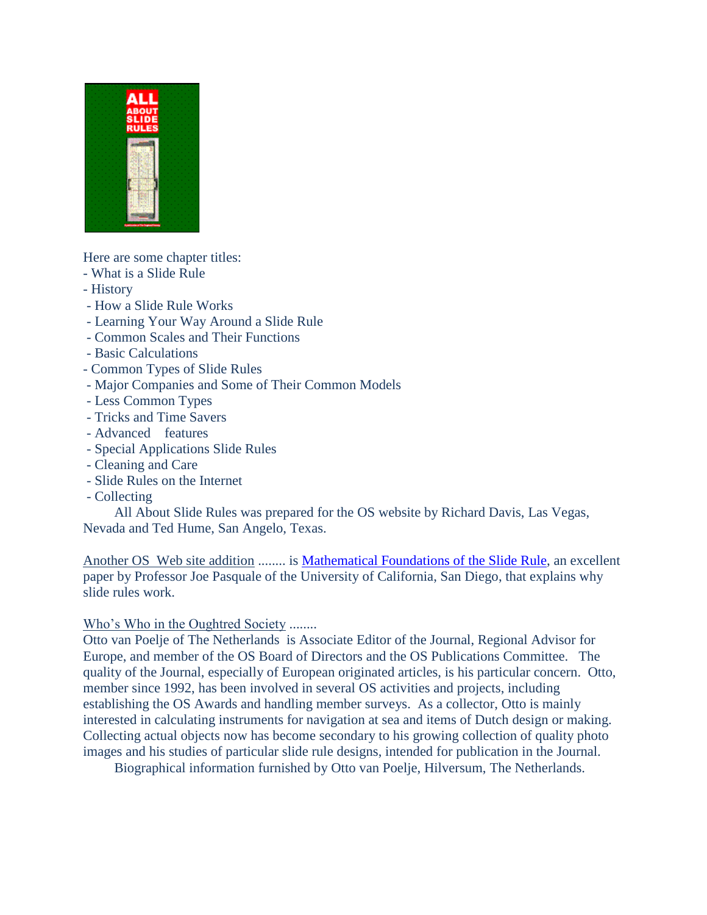

Here are some chapter titles:

- What is a Slide Rule
- History
- How a Slide Rule Works
- Learning Your Way Around a Slide Rule
- Common Scales and Their Functions
- Basic Calculations
- Common Types of Slide Rules
- Major Companies and Some of Their Common Models
- Less Common Types
- Tricks and Time Savers
- Advanced features
- Special Applications Slide Rules
- Cleaning and Care
- Slide Rules on the Internet
- Collecting

 All About Slide Rules was prepared for the OS website by Richard Davis, Las Vegas, Nevada and Ted Hume, San Angelo, Texas.

Another OS Web site addition ........ is [Mathematical Foundations of the Slide Rule,](http://cseweb.ucsd.edu/~pasquale/Papers/IM11.pdf) an excellent paper by Professor Joe Pasquale of the University of California, San Diego, that explains why slide rules work.

Who's Who in the Oughtred Society ........

Otto van Poelje of The Netherlands is Associate Editor of the Journal, Regional Advisor for Europe, and member of the OS Board of Directors and the OS Publications Committee. The quality of the Journal, especially of European originated articles, is his particular concern. Otto, member since 1992, has been involved in several OS activities and projects, including establishing the OS Awards and handling member surveys. As a collector, Otto is mainly interested in calculating instruments for navigation at sea and items of Dutch design or making. Collecting actual objects now has become secondary to his growing collection of quality photo images and his studies of particular slide rule designs, intended for publication in the Journal.

Biographical information furnished by Otto van Poelje, Hilversum, The Netherlands.